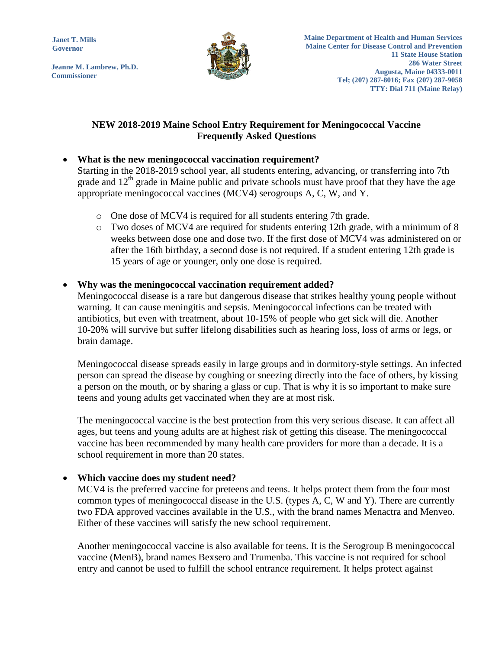**Janet T. Mills Governor**

**Jeanne M. Lambrew, Ph.D. Commissioner**



# **NEW 2018-2019 Maine School Entry Requirement for Meningococcal Vaccine Frequently Asked Questions**

# **What is the new meningococcal vaccination requirement?**

Starting in the 2018-2019 school year, all students entering, advancing, or transferring into 7th grade and  $12<sup>th</sup>$  grade in Maine public and private schools must have proof that they have the age appropriate meningococcal vaccines (MCV4) serogroups A, C, W, and Y.

- o One dose of MCV4 is required for all students entering 7th grade.
- o Two doses of MCV4 are required for students entering 12th grade, with a minimum of 8 weeks between dose one and dose two. If the first dose of MCV4 was administered on or after the 16th birthday, a second dose is not required. If a student entering 12th grade is 15 years of age or younger, only one dose is required.

#### **Why was the meningococcal vaccination requirement added?**

Meningococcal disease is a rare but dangerous disease that strikes healthy young people without warning. It can cause meningitis and sepsis. Meningococcal infections can be treated with antibiotics, but even with treatment, about 10-15% of people who get sick will die. Another 10-20% will survive but suffer lifelong disabilities such as hearing loss, loss of arms or legs, or brain damage.

Meningococcal disease spreads easily in large groups and in dormitory-style settings. An infected person can spread the disease by coughing or sneezing directly into the face of others, by kissing a person on the mouth, or by sharing a glass or cup. That is why it is so important to make sure teens and young adults get vaccinated when they are at most risk.

The meningococcal vaccine is the best protection from this very serious disease. It can affect all ages, but teens and young adults are at highest risk of getting this disease. The meningococcal vaccine has been recommended by many health care providers for more than a decade. It is a school requirement in more than 20 states.

### **Which vaccine does my student need?**

MCV4 is the preferred vaccine for preteens and teens. It helps protect them from the four most common types of meningococcal disease in the U.S. (types A, C, W and Y). There are currently two FDA approved vaccines available in the U.S., with the brand names Menactra and Menveo. Either of these vaccines will satisfy the new school requirement.

Another meningococcal vaccine is also available for teens. It is the Serogroup B meningococcal vaccine (MenB), brand names Bexsero and Trumenba. This vaccine is not required for school entry and cannot be used to fulfill the school entrance requirement. It helps protect against